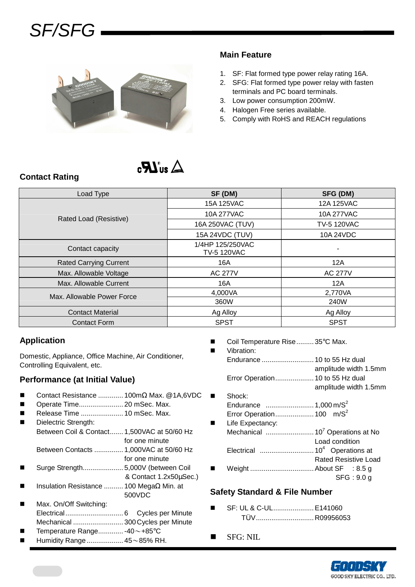

### **Main Feature**

- 1. SF: Flat formed type power relay rating 16A.
- 2. SFG: Flat formed type power relay with fasten terminals and PC board terminals.
- 3. Low power consumption 200mW.
- 4. Halogen Free series available.
- 5. Comply with RoHS and REACH regulations

# $\Delta$  and  $\bm{R}_2$

### **Contact Rating**

| Load Type                     | SF (DM)                                | SFG (DM)              |  |
|-------------------------------|----------------------------------------|-----------------------|--|
|                               | 15A 125VAC                             | 12A 125VAC            |  |
| Rated Load (Resistive)        | 10A 277VAC                             | 10A 277VAC            |  |
|                               | 16A 250VAC (TUV)                       | <b>TV-5 120VAC</b>    |  |
|                               | 15A 24VDC (TUV)                        | 10A 24VDC             |  |
| Contact capacity              | 1/4HP 125/250VAC<br><b>TV-5 120VAC</b> |                       |  |
| <b>Rated Carrying Current</b> | 16A                                    | 12A                   |  |
| Max. Allowable Voltage        | <b>AC 277V</b>                         | <b>AC 277V</b><br>12A |  |
| Max. Allowable Current        | 16A                                    |                       |  |
| Max. Allowable Power Force    | 4,000VA                                | 2,770VA               |  |
|                               | 360W                                   | 240W                  |  |
| <b>Contact Material</b>       | Ag Alloy                               | Ag Alloy              |  |
| <b>Contact Form</b>           | <b>SPST</b>                            | <b>SPST</b>           |  |

### **Application**

Domestic, Appliance, Office Machine, Air Conditioner, Controlling Equivalent, etc.

### **Performance (at Initial Value)**

- Contact Resistance ............. 100mΩ Max. @1A,6VDC
- Operate Time....................... 20 mSec. Max.
- Release Time ...................... 10 mSec. Max. Dielectric Strength:
	- Between Coil & Contact....... 1,500VAC at 50/60 Hz for one minute
		- Between Contacts ............... 1,000VAC at 50/60 Hz
	- for one minute
- Surge Strength..................... 5,000V (between Coil & Contact 1.2x50µSec.)
- Insulation Resistance .......... 100 MegaΩ Min. at 500VDC
- Max. On/Off Switching: Electrical.............................. 6 Cycles per Minute Mechanical .......................... 300 Cycles per Minute
- Temperature Range............. -40~+85°C
- Humidity Range................... 45~85% RH.
- Coil Temperature Rise......... 35°C Max.
- Vibration: Endurance ........................... 10 to 55 Hz dual amplitude width 1.5mm Error Operation.................... 10 to 55 Hz dual amplitude width 1.5mm Shock: Endurance ......................... 1,000 m/S<sup>2</sup> Error Operation.................... 100 m/S<sup>2</sup> **Life Expectancy:** Mechanical ......................... 10<sup>7</sup>Operations at No Load condition Electrical ............................ 10<sup>4</sup>Operations at Rated Resistive Load
- Weight ................................. About SF : 8.5 g SFG : 9.0 g

#### **Safety Standard & File Number**

- SF: UL & C-UL..................... E141060 TÜV.............................. R09956053
- **SFG: NIL**